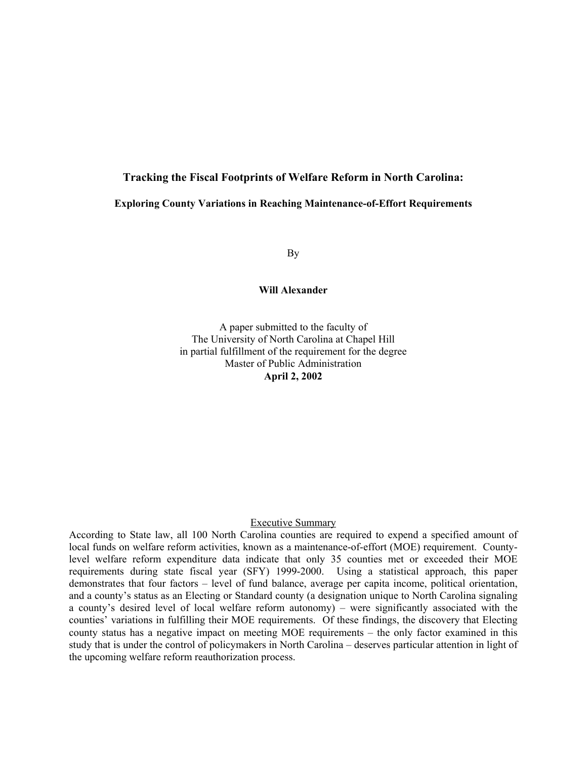# **Tracking the Fiscal Footprints of Welfare Reform in North Carolina:**

# **Exploring County Variations in Reaching Maintenance-of-Effort Requirements**

By

#### **Will Alexander**

A paper submitted to the faculty of The University of North Carolina at Chapel Hill in partial fulfillment of the requirement for the degree Master of Public Administration **April 2, 2002** 

# Executive Summary

According to State law, all 100 North Carolina counties are required to expend a specified amount of local funds on welfare reform activities, known as a maintenance-of-effort (MOE) requirement. Countylevel welfare reform expenditure data indicate that only 35 counties met or exceeded their MOE requirements during state fiscal year (SFY) 1999-2000. Using a statistical approach, this paper demonstrates that four factors – level of fund balance, average per capita income, political orientation, and a county's status as an Electing or Standard county (a designation unique to North Carolina signaling a county's desired level of local welfare reform autonomy) – were significantly associated with the counties' variations in fulfilling their MOE requirements. Of these findings, the discovery that Electing county status has a negative impact on meeting MOE requirements – the only factor examined in this study that is under the control of policymakers in North Carolina – deserves particular attention in light of the upcoming welfare reform reauthorization process.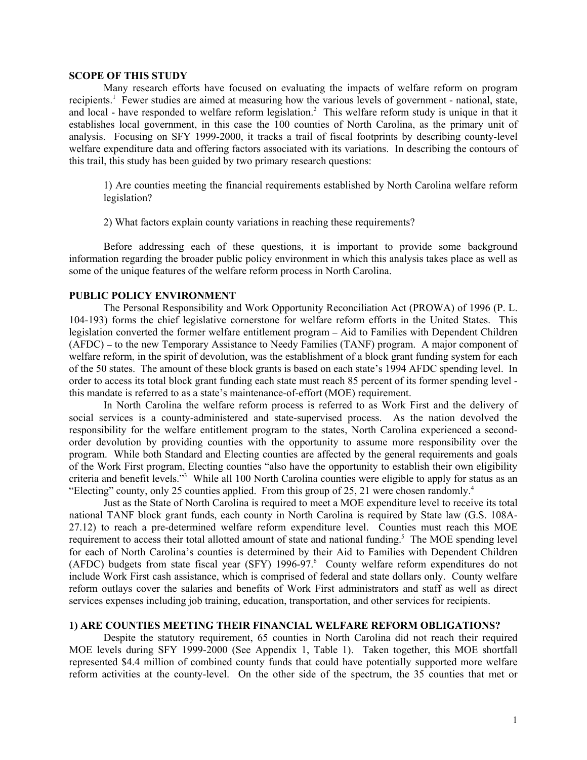#### **SCOPE OF THIS STUDY**

Many research efforts have focused on evaluating the impacts of welfare reform on program recipients.<sup>1</sup> Fewer studies are aimed at measuring how the various levels of government - national, state, and local - have responded to welfare reform legislation.<sup>2</sup> This welfare reform study is unique in that it establishes local government, in this case the 100 counties of North Carolina, as the primary unit of analysis. Focusing on SFY 1999-2000, it tracks a trail of fiscal footprints by describing county-level welfare expenditure data and offering factors associated with its variations. In describing the contours of this trail, this study has been guided by two primary research questions:

1) Are counties meeting the financial requirements established by North Carolina welfare reform legislation?

2) What factors explain county variations in reaching these requirements?

Before addressing each of these questions, it is important to provide some background information regarding the broader public policy environment in which this analysis takes place as well as some of the unique features of the welfare reform process in North Carolina.

## **PUBLIC POLICY ENVIRONMENT**

The Personal Responsibility and Work Opportunity Reconciliation Act (PROWA) of 1996 (P. L. 104-193) forms the chief legislative cornerstone for welfare reform efforts in the United States. This legislation converted the former welfare entitlement program **–** Aid to Families with Dependent Children (AFDC) **–** to the new Temporary Assistance to Needy Families (TANF) program. A major component of welfare reform, in the spirit of devolution, was the establishment of a block grant funding system for each of the 50 states. The amount of these block grants is based on each state's 1994 AFDC spending level. In order to access its total block grant funding each state must reach 85 percent of its former spending level this mandate is referred to as a state's maintenance-of-effort (MOE) requirement.

In North Carolina the welfare reform process is referred to as Work First and the delivery of social services is a county-administered and state-supervised process. As the nation devolved the responsibility for the welfare entitlement program to the states, North Carolina experienced a secondorder devolution by providing counties with the opportunity to assume more responsibility over the program. While both Standard and Electing counties are affected by the general requirements and goals of the Work First program, Electing counties "also have the opportunity to establish their own eligibility criteria and benefit levels."<sup>3</sup> While all 100 North Carolina counties were eligible to apply for status as an "Electing" county, only 25 counties applied. From this group of 25, 21 were chosen randomly.<sup>4</sup>

Just as the State of North Carolina is required to meet a MOE expenditure level to receive its total national TANF block grant funds, each county in North Carolina is required by State law (G.S. 108A-27.12) to reach a pre-determined welfare reform expenditure level. Counties must reach this MOE requirement to access their total allotted amount of state and national funding.<sup>5</sup> The MOE spending level for each of North Carolina's counties is determined by their Aid to Families with Dependent Children (AFDC) budgets from state fiscal year (SFY) 1996-97.<sup>6</sup> County welfare reform expenditures do not include Work First cash assistance, which is comprised of federal and state dollars only. County welfare reform outlays cover the salaries and benefits of Work First administrators and staff as well as direct services expenses including job training, education, transportation, and other services for recipients.

#### **1) ARE COUNTIES MEETING THEIR FINANCIAL WELFARE REFORM OBLIGATIONS?**

Despite the statutory requirement, 65 counties in North Carolina did not reach their required MOE levels during SFY 1999-2000 (See Appendix 1, Table 1). Taken together, this MOE shortfall represented \$4.4 million of combined county funds that could have potentially supported more welfare reform activities at the county-level. On the other side of the spectrum, the 35 counties that met or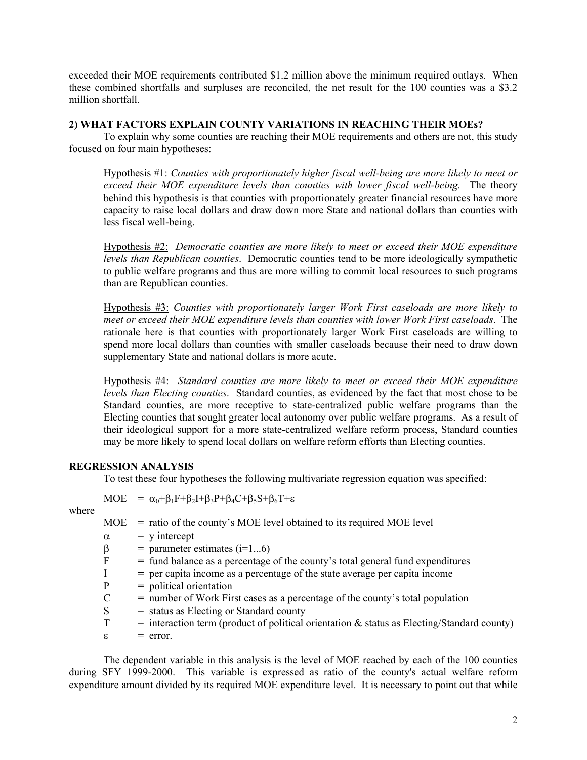exceeded their MOE requirements contributed \$1.2 million above the minimum required outlays. When these combined shortfalls and surpluses are reconciled, the net result for the 100 counties was a \$3.2 million shortfall.

# **2) WHAT FACTORS EXPLAIN COUNTY VARIATIONS IN REACHING THEIR MOEs?**

To explain why some counties are reaching their MOE requirements and others are not, this study focused on four main hypotheses:

Hypothesis #1: *Counties with proportionately higher fiscal well-being are more likely to meet or exceed their MOE expenditure levels than counties with lower fiscal well-being.* The theory behind this hypothesis is that counties with proportionately greater financial resources have more capacity to raise local dollars and draw down more State and national dollars than counties with less fiscal well-being.

Hypothesis #2: *Democratic counties are more likely to meet or exceed their MOE expenditure levels than Republican counties*. Democratic counties tend to be more ideologically sympathetic to public welfare programs and thus are more willing to commit local resources to such programs than are Republican counties.

Hypothesis #3: *Counties with proportionately larger Work First caseloads are more likely to meet or exceed their MOE expenditure levels than counties with lower Work First caseloads*. The rationale here is that counties with proportionately larger Work First caseloads are willing to spend more local dollars than counties with smaller caseloads because their need to draw down supplementary State and national dollars is more acute.

Hypothesis #4: *Standard counties are more likely to meet or exceed their MOE expenditure levels than Electing counties*. Standard counties, as evidenced by the fact that most chose to be Standard counties, are more receptive to state-centralized public welfare programs than the Electing counties that sought greater local autonomy over public welfare programs. As a result of their ideological support for a more state-centralized welfare reform process, Standard counties may be more likely to spend local dollars on welfare reform efforts than Electing counties.

# **REGRESSION ANALYSIS**

To test these four hypotheses the following multivariate regression equation was specified:

 $\text{MOE} = \alpha_0 + \beta_1 \text{F} + \beta_2 \text{I} + \beta_3 \text{P} + \beta_4 \text{C} + \beta_5 \text{S} + \beta_6 \text{T} + \varepsilon$ 

where

- $MOE$  = ratio of the county's MOE level obtained to its required MOE level
- $\alpha$  = y intercept
- $β = parameter estimates (i=1...6)$ <br>F = fund balance as a nercentage
	- F **=** fund balance as a percentage of the county's total general fund expenditures
- I **=** per capita income as a percentage of the state average per capita income
- P **=** political orientation
- C **=** number of Work First cases as a percentage of the county's total population
- $S =$  status as Electing or Standard county
- $T =$  interaction term (product of political orientation  $\&$  status as Electing/Standard county)
- $\varepsilon$  = error.

The dependent variable in this analysis is the level of MOE reached by each of the 100 counties during SFY 1999-2000. This variable is expressed as ratio of the county's actual welfare reform expenditure amount divided by its required MOE expenditure level. It is necessary to point out that while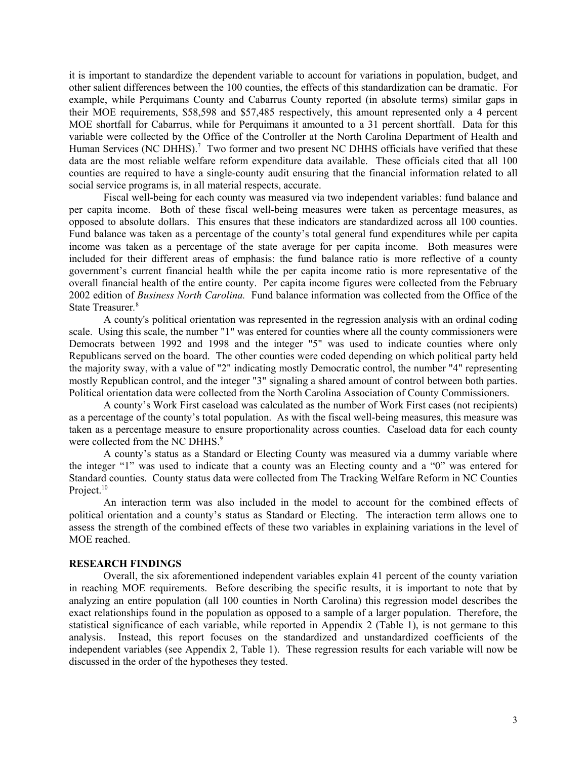it is important to standardize the dependent variable to account for variations in population, budget, and other salient differences between the 100 counties, the effects of this standardization can be dramatic. For example, while Perquimans County and Cabarrus County reported (in absolute terms) similar gaps in their MOE requirements, \$58,598 and \$57,485 respectively, this amount represented only a 4 percent MOE shortfall for Cabarrus, while for Perquimans it amounted to a 31 percent shortfall. Data for this variable were collected by the Office of the Controller at the North Carolina Department of Health and Human Services (NC DHHS).<sup>7</sup> Two former and two present NC DHHS officials have verified that these data are the most reliable welfare reform expenditure data available. These officials cited that all 100 counties are required to have a single-county audit ensuring that the financial information related to all social service programs is, in all material respects, accurate.

Fiscal well-being for each county was measured via two independent variables: fund balance and per capita income. Both of these fiscal well-being measures were taken as percentage measures, as opposed to absolute dollars. This ensures that these indicators are standardized across all 100 counties. Fund balance was taken as a percentage of the county's total general fund expenditures while per capita income was taken as a percentage of the state average for per capita income. Both measures were included for their different areas of emphasis: the fund balance ratio is more reflective of a county government's current financial health while the per capita income ratio is more representative of the overall financial health of the entire county. Per capita income figures were collected from the February 2002 edition of *Business North Carolina.* Fund balance information was collected from the Office of the State Treasurer*.* 8

A county's political orientation was represented in the regression analysis with an ordinal coding scale. Using this scale, the number "1" was entered for counties where all the county commissioners were Democrats between 1992 and 1998 and the integer "5" was used to indicate counties where only Republicans served on the board. The other counties were coded depending on which political party held the majority sway, with a value of "2" indicating mostly Democratic control, the number "4" representing mostly Republican control, and the integer "3" signaling a shared amount of control between both parties. Political orientation data were collected from the North Carolina Association of County Commissioners.

A county's Work First caseload was calculated as the number of Work First cases (not recipients) as a percentage of the county's total population. As with the fiscal well-being measures, this measure was taken as a percentage measure to ensure proportionality across counties. Caseload data for each county were collected from the NC DHHS.<sup>9</sup>

A county's status as a Standard or Electing County was measured via a dummy variable where the integer "1" was used to indicate that a county was an Electing county and a "0" was entered for Standard counties. County status data were collected from The Tracking Welfare Reform in NC Counties Project.<sup>10</sup>

An interaction term was also included in the model to account for the combined effects of political orientation and a county's status as Standard or Electing. The interaction term allows one to assess the strength of the combined effects of these two variables in explaining variations in the level of MOE reached.

#### **RESEARCH FINDINGS**

Overall, the six aforementioned independent variables explain 41 percent of the county variation in reaching MOE requirements. Before describing the specific results, it is important to note that by analyzing an entire population (all 100 counties in North Carolina) this regression model describes the exact relationships found in the population as opposed to a sample of a larger population. Therefore, the statistical significance of each variable, while reported in Appendix 2 (Table 1), is not germane to this analysis. Instead, this report focuses on the standardized and unstandardized coefficients of the independent variables (see Appendix 2, Table 1). These regression results for each variable will now be discussed in the order of the hypotheses they tested.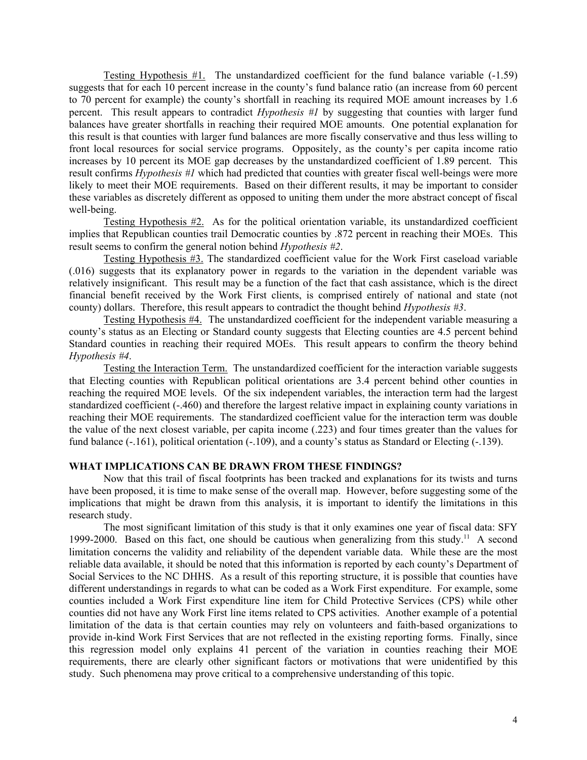Testing Hypothesis #1.The unstandardized coefficient for the fund balance variable (-1.59) suggests that for each 10 percent increase in the county's fund balance ratio (an increase from 60 percent to 70 percent for example) the county's shortfall in reaching its required MOE amount increases by 1.6 percent. This result appears to contradict *Hypothesis #1* by suggesting that counties with larger fund balances have greater shortfalls in reaching their required MOE amounts. One potential explanation for this result is that counties with larger fund balances are more fiscally conservative and thus less willing to front local resources for social service programs. Oppositely, as the county's per capita income ratio increases by 10 percent its MOE gap decreases by the unstandardized coefficient of 1.89 percent. This result confirms *Hypothesis #1* which had predicted that counties with greater fiscal well-beings were more likely to meet their MOE requirements. Based on their different results, it may be important to consider these variables as discretely different as opposed to uniting them under the more abstract concept of fiscal well-being.

Testing Hypothesis #2.As for the political orientation variable, its unstandardized coefficient implies that Republican counties trail Democratic counties by .872 percent in reaching their MOEs. This result seems to confirm the general notion behind *Hypothesis #2*.

Testing Hypothesis #3. The standardized coefficient value for the Work First caseload variable (.016) suggests that its explanatory power in regards to the variation in the dependent variable was relatively insignificant. This result may be a function of the fact that cash assistance, which is the direct financial benefit received by the Work First clients, is comprised entirely of national and state (not county) dollars. Therefore, this result appears to contradict the thought behind *Hypothesis #3*.

Testing Hypothesis #4.The unstandardized coefficient for the independent variable measuring a county's status as an Electing or Standard county suggests that Electing counties are 4.5 percent behind Standard counties in reaching their required MOEs. This result appears to confirm the theory behind *Hypothesis #4*.

 Testing the Interaction Term. The unstandardized coefficient for the interaction variable suggests that Electing counties with Republican political orientations are 3.4 percent behind other counties in reaching the required MOE levels.Of the six independent variables, the interaction term had the largest standardized coefficient (-.460) and therefore the largest relative impact in explaining county variations in reaching their MOE requirements. The standardized coefficient value for the interaction term was double the value of the next closest variable, per capita income (.223) and four times greater than the values for fund balance (-.161), political orientation (-.109), and a county's status as Standard or Electing (-.139).

#### **WHAT IMPLICATIONS CAN BE DRAWN FROM THESE FINDINGS?**

Now that this trail of fiscal footprints has been tracked and explanations for its twists and turns have been proposed, it is time to make sense of the overall map. However, before suggesting some of the implications that might be drawn from this analysis, it is important to identify the limitations in this research study.

The most significant limitation of this study is that it only examines one year of fiscal data: SFY 1999-2000. Based on this fact, one should be cautious when generalizing from this study.<sup>11</sup> A second limitation concerns the validity and reliability of the dependent variable data. While these are the most reliable data available, it should be noted that this information is reported by each county's Department of Social Services to the NC DHHS. As a result of this reporting structure, it is possible that counties have different understandings in regards to what can be coded as a Work First expenditure. For example, some counties included a Work First expenditure line item for Child Protective Services (CPS) while other counties did not have any Work First line items related to CPS activities. Another example of a potential limitation of the data is that certain counties may rely on volunteers and faith-based organizations to provide in-kind Work First Services that are not reflected in the existing reporting forms. Finally, since this regression model only explains 41 percent of the variation in counties reaching their MOE requirements, there are clearly other significant factors or motivations that were unidentified by this study. Such phenomena may prove critical to a comprehensive understanding of this topic.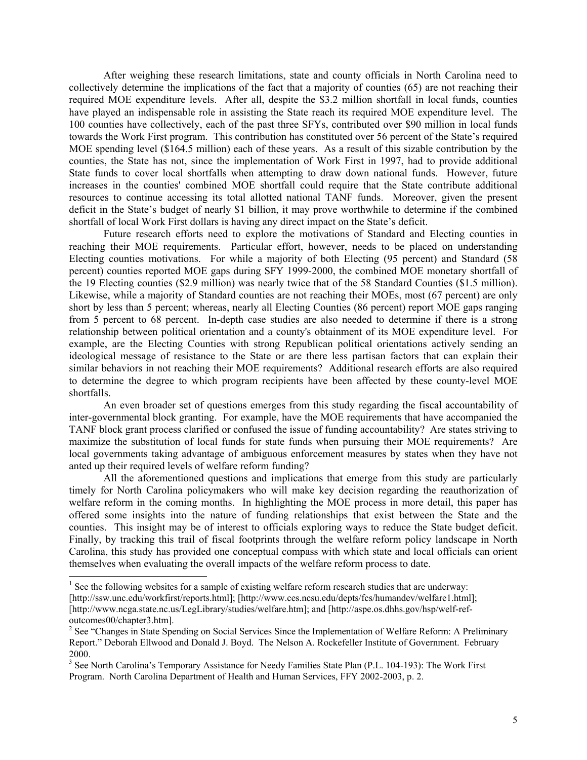After weighing these research limitations, state and county officials in North Carolina need to collectively determine the implications of the fact that a majority of counties (65) are not reaching their required MOE expenditure levels. After all, despite the \$3.2 million shortfall in local funds, counties have played an indispensable role in assisting the State reach its required MOE expenditure level. The 100 counties have collectively, each of the past three SFYs, contributed over \$90 million in local funds towards the Work First program. This contribution has constituted over 56 percent of the State's required MOE spending level (\$164.5 million) each of these years. As a result of this sizable contribution by the counties, the State has not, since the implementation of Work First in 1997, had to provide additional State funds to cover local shortfalls when attempting to draw down national funds. However, future increases in the counties' combined MOE shortfall could require that the State contribute additional resources to continue accessing its total allotted national TANF funds. Moreover, given the present deficit in the State's budget of nearly \$1 billion, it may prove worthwhile to determine if the combined shortfall of local Work First dollars is having any direct impact on the State's deficit.

Future research efforts need to explore the motivations of Standard and Electing counties in reaching their MOE requirements. Particular effort, however, needs to be placed on understanding Electing counties motivations. For while a majority of both Electing (95 percent) and Standard (58 percent) counties reported MOE gaps during SFY 1999-2000, the combined MOE monetary shortfall of the 19 Electing counties (\$2.9 million) was nearly twice that of the 58 Standard Counties (\$1.5 million). Likewise, while a majority of Standard counties are not reaching their MOEs, most (67 percent) are only short by less than 5 percent; whereas, nearly all Electing Counties (86 percent) report MOE gaps ranging from 5 percent to 68 percent. In-depth case studies are also needed to determine if there is a strong relationship between political orientation and a county's obtainment of its MOE expenditure level. For example, are the Electing Counties with strong Republican political orientations actively sending an ideological message of resistance to the State or are there less partisan factors that can explain their similar behaviors in not reaching their MOE requirements? Additional research efforts are also required to determine the degree to which program recipients have been affected by these county-level MOE shortfalls.

An even broader set of questions emerges from this study regarding the fiscal accountability of inter-governmental block granting. For example, have the MOE requirements that have accompanied the TANF block grant process clarified or confused the issue of funding accountability? Are states striving to maximize the substitution of local funds for state funds when pursuing their MOE requirements? Are local governments taking advantage of ambiguous enforcement measures by states when they have not anted up their required levels of welfare reform funding?

All the aforementioned questions and implications that emerge from this study are particularly timely for North Carolina policymakers who will make key decision regarding the reauthorization of welfare reform in the coming months. In highlighting the MOE process in more detail, this paper has offered some insights into the nature of funding relationships that exist between the State and the counties. This insight may be of interest to officials exploring ways to reduce the State budget deficit. Finally, by tracking this trail of fiscal footprints through the welfare reform policy landscape in North Carolina, this study has provided one conceptual compass with which state and local officials can orient themselves when evaluating the overall impacts of the welfare reform process to date.

 $\overline{\phantom{a}}$ 

 $<sup>1</sup>$  See the following websites for a sample of existing welfare reform research studies that are underway:</sup> [http://ssw.unc.edu/workfirst/reports.html]; [http://www.ces.ncsu.edu/depts/fcs/humandev/welfare1.html]; [http://www.ncga.state.nc.us/LegLibrary/studies/welfare.htm]; and [http://aspe.os.dhhs.gov/hsp/welf-refoutcomes00/chapter3.htm].

<sup>&</sup>lt;sup>2</sup> See "Changes in State Spending on Social Services Since the Implementation of Welfare Reform: A Preliminary Report." Deborah Ellwood and Donald J. Boyd. The Nelson A. Rockefeller Institute of Government. February 2000.

<sup>&</sup>lt;sup>3</sup> See North Carolina's Temporary Assistance for Needy Families State Plan (P.L. 104-193): The Work First Program. North Carolina Department of Health and Human Services, FFY 2002-2003, p. 2.